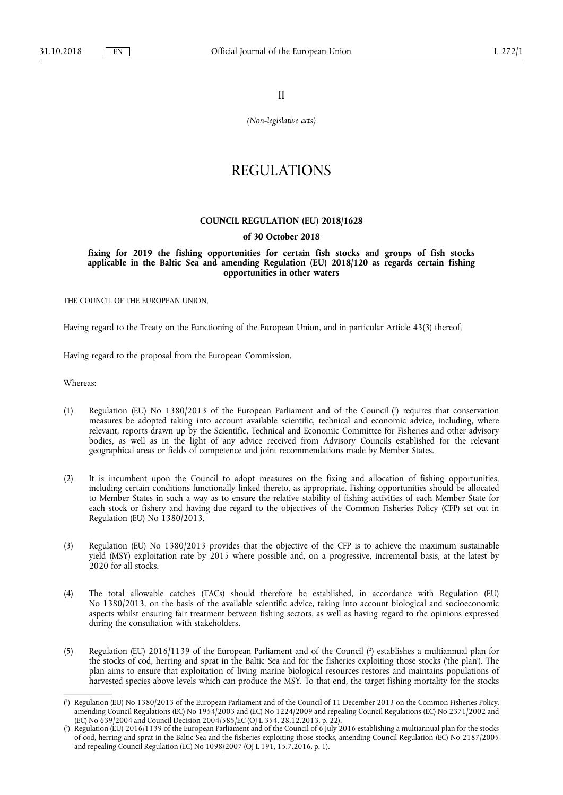II

*(Non-legislative acts)* 

# REGULATIONS

# **COUNCIL REGULATION (EU) 2018/1628**

# **of 30 October 2018**

**fixing for 2019 the fishing opportunities for certain fish stocks and groups of fish stocks applicable in the Baltic Sea and amending Regulation (EU) 2018/120 as regards certain fishing opportunities in other waters** 

THE COUNCIL OF THE EUROPEAN UNION.

Having regard to the Treaty on the Functioning of the European Union, and in particular Article 43(3) thereof,

Having regard to the proposal from the European Commission,

Whereas:

- (1) Regulation (EU) No 1380/2013 of the European Parliament and of the Council ( 1 ) requires that conservation measures be adopted taking into account available scientific, technical and economic advice, including, where relevant, reports drawn up by the Scientific, Technical and Economic Committee for Fisheries and other advisory bodies, as well as in the light of any advice received from Advisory Councils established for the relevant geographical areas or fields of competence and joint recommendations made by Member States.
- (2) It is incumbent upon the Council to adopt measures on the fixing and allocation of fishing opportunities, including certain conditions functionally linked thereto, as appropriate. Fishing opportunities should be allocated to Member States in such a way as to ensure the relative stability of fishing activities of each Member State for each stock or fishery and having due regard to the objectives of the Common Fisheries Policy (CFP) set out in Regulation (EU) No 1380/2013.
- (3) Regulation (EU) No 1380/2013 provides that the objective of the CFP is to achieve the maximum sustainable yield (MSY) exploitation rate by 2015 where possible and, on a progressive, incremental basis, at the latest by 2020 for all stocks.
- (4) The total allowable catches (TACs) should therefore be established, in accordance with Regulation (EU) No 1380/2013, on the basis of the available scientific advice, taking into account biological and socioeconomic aspects whilst ensuring fair treatment between fishing sectors, as well as having regard to the opinions expressed during the consultation with stakeholders.
- (5) Regulation (EU) 2016/1139 of the European Parliament and of the Council ( 2 ) establishes a multiannual plan for the stocks of cod, herring and sprat in the Baltic Sea and for the fisheries exploiting those stocks ('the plan'). The plan aims to ensure that exploitation of living marine biological resources restores and maintains populations of harvested species above levels which can produce the MSY. To that end, the target fishing mortality for the stocks

<sup>(</sup> 1 ) Regulation (EU) No 1380/2013 of the European Parliament and of the Council of 11 December 2013 on the Common Fisheries Policy, amending Council Regulations (EC) No 1954/2003 and (EC) No 1224/2009 and repealing Council Regulations (EC) No 2371/2002 and (EC) No 639/2004 and Council Decision 2004/585/EC (OJ L 354, 28.12.2013, p. 22).

<sup>(</sup> 2 ) Regulation (EU) 2016/1139 of the European Parliament and of the Council of 6 July 2016 establishing a multiannual plan for the stocks of cod, herring and sprat in the Baltic Sea and the fisheries exploiting those stocks, amending Council Regulation (EC) No 2187/2005 and repealing Council Regulation (EC) No 1098/2007 (OJ L 191, 15.7.2016, p. 1).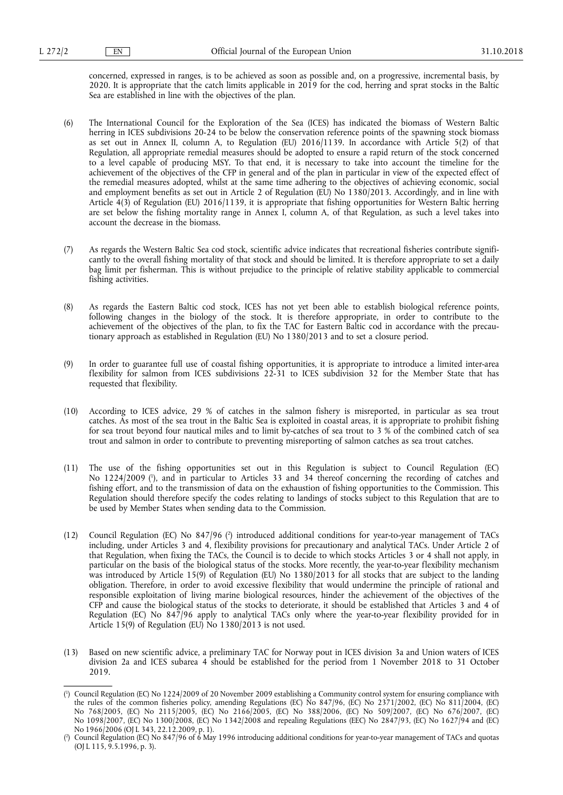concerned, expressed in ranges, is to be achieved as soon as possible and, on a progressive, incremental basis, by 2020. It is appropriate that the catch limits applicable in 2019 for the cod, herring and sprat stocks in the Baltic Sea are established in line with the objectives of the plan.

- (6) The International Council for the Exploration of the Sea (ICES) has indicated the biomass of Western Baltic herring in ICES subdivisions 20-24 to be below the conservation reference points of the spawning stock biomass as set out in Annex II, column A, to Regulation (EU) 2016/1139. In accordance with Article 5(2) of that Regulation, all appropriate remedial measures should be adopted to ensure a rapid return of the stock concerned to a level capable of producing MSY. To that end, it is necessary to take into account the timeline for the achievement of the objectives of the CFP in general and of the plan in particular in view of the expected effect of the remedial measures adopted, whilst at the same time adhering to the objectives of achieving economic, social and employment benefits as set out in Article 2 of Regulation (EU) No 1380/2013. Accordingly, and in line with Article 4(3) of Regulation (EU) 2016/1139, it is appropriate that fishing opportunities for Western Baltic herring are set below the fishing mortality range in Annex I, column A, of that Regulation, as such a level takes into account the decrease in the biomass.
- (7) As regards the Western Baltic Sea cod stock, scientific advice indicates that recreational fisheries contribute significantly to the overall fishing mortality of that stock and should be limited. It is therefore appropriate to set a daily bag limit per fisherman. This is without prejudice to the principle of relative stability applicable to commercial fishing activities.
- (8) As regards the Eastern Baltic cod stock, ICES has not yet been able to establish biological reference points, following changes in the biology of the stock. It is therefore appropriate, in order to contribute to the achievement of the objectives of the plan, to fix the TAC for Eastern Baltic cod in accordance with the precautionary approach as established in Regulation (EU) No 1380/2013 and to set a closure period.
- (9) In order to guarantee full use of coastal fishing opportunities, it is appropriate to introduce a limited inter-area flexibility for salmon from ICES subdivisions 22-31 to ICES subdivision 32 for the Member State that has requested that flexibility.
- (10) According to ICES advice, 29 % of catches in the salmon fishery is misreported, in particular as sea trout catches. As most of the sea trout in the Baltic Sea is exploited in coastal areas, it is appropriate to prohibit fishing for sea trout beyond four nautical miles and to limit by-catches of sea trout to 3 % of the combined catch of sea trout and salmon in order to contribute to preventing misreporting of salmon catches as sea trout catches.
- (11) The use of the fishing opportunities set out in this Regulation is subject to Council Regulation (EC) No 1224/2009 ( 1 ), and in particular to Articles 33 and 34 thereof concerning the recording of catches and fishing effort, and to the transmission of data on the exhaustion of fishing opportunities to the Commission. This Regulation should therefore specify the codes relating to landings of stocks subject to this Regulation that are to be used by Member States when sending data to the Commission.
- (12) Council Regulation (EC) No 847/96 (?) introduced additional conditions for year-to-year management of TACs including, under Articles 3 and 4, flexibility provisions for precautionary and analytical TACs. Under Article 2 of that Regulation, when fixing the TACs, the Council is to decide to which stocks Articles 3 or 4 shall not apply, in particular on the basis of the biological status of the stocks. More recently, the year-to-year flexibility mechanism was introduced by Article 15(9) of Regulation (EU) No 1380/2013 for all stocks that are subject to the landing obligation. Therefore, in order to avoid excessive flexibility that would undermine the principle of rational and responsible exploitation of living marine biological resources, hinder the achievement of the objectives of the CFP and cause the biological status of the stocks to deteriorate, it should be established that Articles 3 and 4 of Regulation (EC) No 847/96 apply to analytical TACs only where the year-to-year flexibility provided for in Article 15(9) of Regulation (EU) No 1380/2013 is not used.
- (13) Based on new scientific advice, a preliminary TAC for Norway pout in ICES division 3a and Union waters of ICES division 2a and ICES subarea 4 should be established for the period from 1 November 2018 to 31 October 2019.

<sup>(</sup> 1 ) Council Regulation (EC) No 1224/2009 of 20 November 2009 establishing a Community control system for ensuring compliance with the rules of the common fisheries policy, amending Regulations (EC) No 847/96, (EC) No 2371/2002, (EC) No 811/2004, (EC) No 768/2005, (EC) No 2115/2005, (EC) No 2166/2005, (EC) No 388/2006, (EC) No 509/2007, (EC) No 676/2007, (EC) No 1098/2007, (EC) No 1300/2008, (EC) No 1342/2008 and repealing Regulations (EEC) No 2847/93, (EC) No 1627/94 and (EC) No 1966/2006 (OJ L 343, 22.12.2009, p. 1).

<sup>(</sup> 2 ) Council Regulation (EC) No 847/96 of 6 May 1996 introducing additional conditions for year-to-year management of TACs and quotas (OJ L 115, 9.5.1996, p. 3).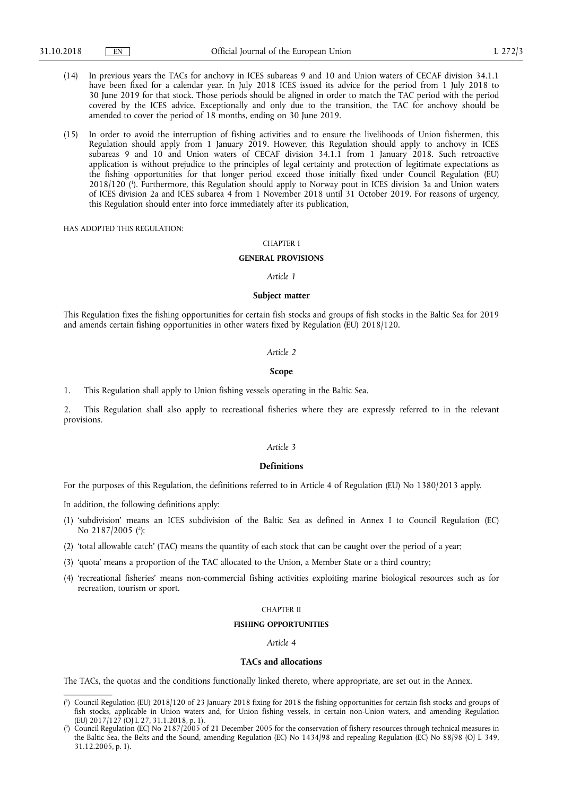- (14) In previous years the TACs for anchovy in ICES subareas 9 and 10 and Union waters of CECAF division 34.1.1 have been fixed for a calendar year. In July 2018 ICES issued its advice for the period from 1 July 2018 to 30 June 2019 for that stock. Those periods should be aligned in order to match the TAC period with the period covered by the ICES advice. Exceptionally and only due to the transition, the TAC for anchovy should be amended to cover the period of 18 months, ending on 30 June 2019.
- (15) In order to avoid the interruption of fishing activities and to ensure the livelihoods of Union fishermen, this Regulation should apply from 1 January 2019. However, this Regulation should apply to anchovy in ICES subareas 9 and 10 and Union waters of CECAF division 34.1.1 from 1 January 2018. Such retroactive application is without prejudice to the principles of legal certainty and protection of legitimate expectations as the fishing opportunities for that longer period exceed those initially fixed under Council Regulation (EU) 2018/120 ( 1 ). Furthermore, this Regulation should apply to Norway pout in ICES division 3a and Union waters of ICES division 2a and ICES subarea 4 from 1 November 2018 until 31 October 2019. For reasons of urgency, this Regulation should enter into force immediately after its publication,

HAS ADOPTED THIS REGULATION:

### CHAPTER I

# **GENERAL PROVISIONS**

# *Article 1*

## **Subject matter**

This Regulation fixes the fishing opportunities for certain fish stocks and groups of fish stocks in the Baltic Sea for 2019 and amends certain fishing opportunities in other waters fixed by Regulation (EU) 2018/120.

#### *Article 2*

# **Scope**

1. This Regulation shall apply to Union fishing vessels operating in the Baltic Sea.

2. This Regulation shall also apply to recreational fisheries where they are expressly referred to in the relevant provisions.

#### *Article 3*

### **Definitions**

For the purposes of this Regulation, the definitions referred to in Article 4 of Regulation (EU) No 1380/2013 apply.

In addition, the following definitions apply:

- (1) 'subdivision' means an ICES subdivision of the Baltic Sea as defined in Annex I to Council Regulation (EC) No 2187/2005 (<sup>2</sup>);
- (2) 'total allowable catch' (TAC) means the quantity of each stock that can be caught over the period of a year;
- (3) 'quota' means a proportion of the TAC allocated to the Union, a Member State or a third country;
- (4) 'recreational fisheries' means non-commercial fishing activities exploiting marine biological resources such as for recreation, tourism or sport.

# CHAPTER II

# **FISHING OPPORTUNITIES**

# *Article 4*

# **TACs and allocations**

The TACs, the quotas and the conditions functionally linked thereto, where appropriate, are set out in the Annex.

<sup>(</sup> 1 ) Council Regulation (EU) 2018/120 of 23 January 2018 fixing for 2018 the fishing opportunities for certain fish stocks and groups of fish stocks, applicable in Union waters and, for Union fishing vessels, in certain non-Union waters, and amending Regulation (EU)  $2017/127$  (OJ L 27, 31.1.2018, p. 1).

<sup>(</sup> 2 ) Council Regulation (EC) No 2187/2005 of 21 December 2005 for the conservation of fishery resources through technical measures in the Baltic Sea, the Belts and the Sound, amending Regulation (EC) No 1434/98 and repealing Regulation (EC) No 88/98 (OJ L 349, 31.12.2005, p. 1).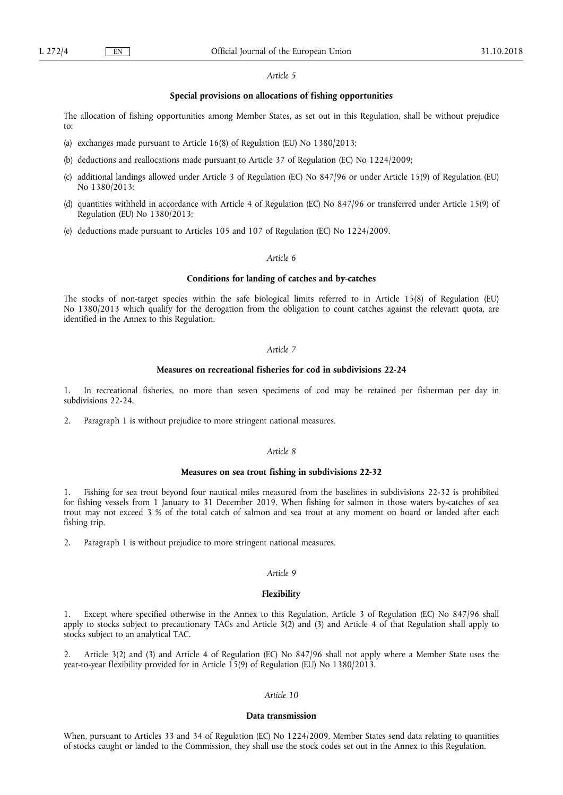# *Article 5*

# **Special provisions on allocations of fishing opportunities**

The allocation of fishing opportunities among Member States, as set out in this Regulation, shall be without prejudice to:

- (a) exchanges made pursuant to Article 16(8) of Regulation (EU) No 1380/2013;
- (b) deductions and reallocations made pursuant to Article 37 of Regulation (EC) No 1224/2009;
- (c) additional landings allowed under Article 3 of Regulation (EC) No 847/96 or under Article 15(9) of Regulation (EU) No 1380/2013;
- (d) quantities withheld in accordance with Article 4 of Regulation (EC) No 847/96 or transferred under Article 15(9) of Regulation (EU) No 1380/2013;
- (e) deductions made pursuant to Articles 105 and 107 of Regulation (EC) No 1224/2009.

# *Article 6*

# **Conditions for landing of catches and by-catches**

The stocks of non-target species within the safe biological limits referred to in Article 15(8) of Regulation (EU) No 1380/2013 which qualify for the derogation from the obligation to count catches against the relevant quota, are identified in the Annex to this Regulation.

# *Article 7*

# **Measures on recreational fisheries for cod in subdivisions 22-24**

1. In recreational fisheries, no more than seven specimens of cod may be retained per fisherman per day in subdivisions 22-24.

2. Paragraph 1 is without prejudice to more stringent national measures.

# *Article 8*

# **Measures on sea trout fishing in subdivisions 22-32**

1. Fishing for sea trout beyond four nautical miles measured from the baselines in subdivisions 22-32 is prohibited for fishing vessels from 1 January to 31 December 2019. When fishing for salmon in those waters by-catches of sea trout may not exceed 3 % of the total catch of salmon and sea trout at any moment on board or landed after each fishing trip.

2. Paragraph 1 is without prejudice to more stringent national measures.

# *Article 9*

# **Flexibility**

Except where specified otherwise in the Annex to this Regulation, Article 3 of Regulation (EC) No 847/96 shall apply to stocks subject to precautionary TACs and Article 3(2) and (3) and Article 4 of that Regulation shall apply to stocks subject to an analytical TAC.

Article 3(2) and (3) and Article 4 of Regulation (EC) No 847/96 shall not apply where a Member State uses the year-to-year flexibility provided for in Article 15(9) of Regulation (EU) No 1380/2013.

# *Article 10*

#### **Data transmission**

When, pursuant to Articles 33 and 34 of Regulation (EC) No 1224/2009, Member States send data relating to quantities of stocks caught or landed to the Commission, they shall use the stock codes set out in the Annex to this Regulation.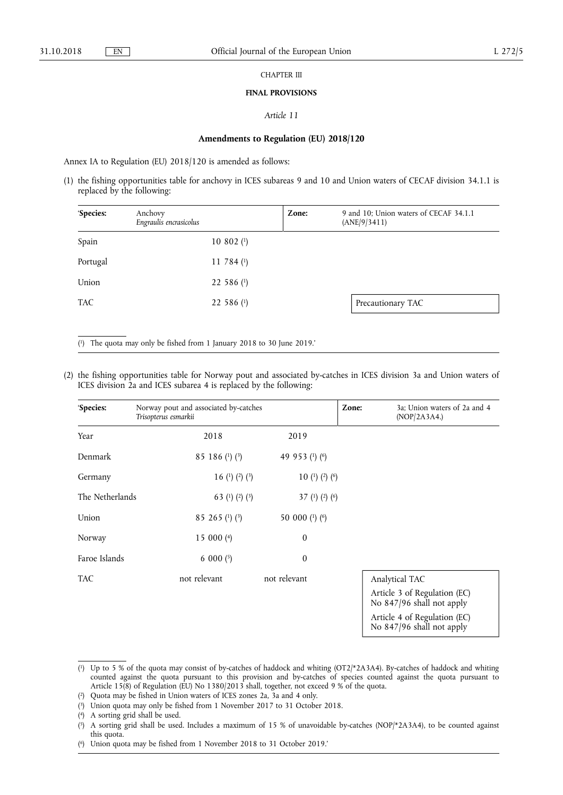### CHAPTER III

#### **FINAL PROVISIONS**

# *Article 11*

# **Amendments to Regulation (EU) 2018/120**

Annex IA to Regulation (EU) 2018/120 is amended as follows:

(1) the fishing opportunities table for anchovy in ICES subareas 9 and 10 and Union waters of CECAF division 34.1.1 is replaced by the following:

| 'Species:  | Anchovy<br>Engraulis encrasicolus |              | Zone: | 9 and 10; Union waters of CECAF 34.1.1<br>(ANE/9/3411) |
|------------|-----------------------------------|--------------|-------|--------------------------------------------------------|
| Spain      |                                   | 10 802 $(1)$ |       |                                                        |
| Portugal   |                                   | 11 784 $(1)$ |       |                                                        |
| Union      |                                   | 22 586 $(1)$ |       |                                                        |
| <b>TAC</b> |                                   | 22 586 $(1)$ |       | Precautionary TAC                                      |

( 1) The quota may only be fished from 1 January 2018 to 30 June 2019.'

(2) the fishing opportunities table for Norway pout and associated by-catches in ICES division 3a and Union waters of ICES division 2a and ICES subarea 4 is replaced by the following:

| 'Species:       | Norway pout and associated by-catches<br>Trisopterus esmarkii |                    | Zone: | 3a; Union waters of 2a and 4<br>(POP/2A3A4.)                                                                |
|-----------------|---------------------------------------------------------------|--------------------|-------|-------------------------------------------------------------------------------------------------------------|
| Year            | 2018                                                          | 2019               |       |                                                                                                             |
| Denmark         | 85 186 (1) $(3)$                                              | 49 953 (1) (6)     |       |                                                                                                             |
| Germany         | 16 (1) (2) (3)                                                | 10 (1) (2) (6)     |       |                                                                                                             |
| The Netherlands | 63 (1) (2) (3)                                                | 37 (1) (2) (6)     |       |                                                                                                             |
| Union           | 85 265 (1) $(3)$                                              | 50 000 $(1)$ $(6)$ |       |                                                                                                             |
| Norway          | 15 000 $(4)$                                                  | $\boldsymbol{0}$   |       |                                                                                                             |
| Faroe Islands   | 6 000 $(5)$                                                   | $\boldsymbol{0}$   |       |                                                                                                             |
| TAC.            | not relevant                                                  | not relevant       |       | Analytical TAC<br>Article 3 of Regulation (EC)<br>No 847/96 shall not apply<br>Article 4 of Regulation (EC) |

No 847/96 shall not apply

( 3) Union quota may only be fished from 1 November 2017 to 31 October 2018.

<sup>(</sup> 1) Up to 5 % of the quota may consist of by-catches of haddock and whiting (OT2/\*2A3A4). By-catches of haddock and whiting counted against the quota pursuant to this provision and by-catches of species counted against the quota pursuant to Article 15(8) of Regulation (EU) No 1380/2013 shall, together, not exceed 9 % of the quota.

<sup>(</sup> 2) Quota may be fished in Union waters of ICES zones 2a, 3a and 4 only.

 $(4)$ 4) A sorting grid shall be used.

 $(5)$ 5) A sorting grid shall be used. Includes a maximum of 15 % of unavoidable by-catches (NOP/\*2A3A4), to be counted against this quota.

<sup>(</sup> 6) Union quota may be fished from 1 November 2018 to 31 October 2019.'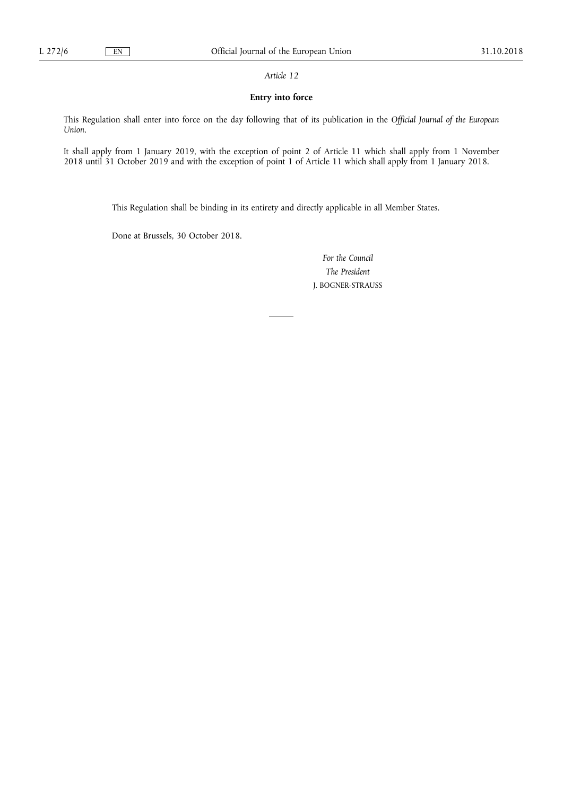*Article 12* 

# **Entry into force**

This Regulation shall enter into force on the day following that of its publication in the *Official Journal of the European Union*.

It shall apply from 1 January 2019, with the exception of point 2 of Article 11 which shall apply from 1 November 2018 until 31 October 2019 and with the exception of point 1 of Article 11 which shall apply from 1 January 2018.

This Regulation shall be binding in its entirety and directly applicable in all Member States.

Done at Brussels, 30 October 2018.

*For the Council The President*  J. BOGNER-STRAUSS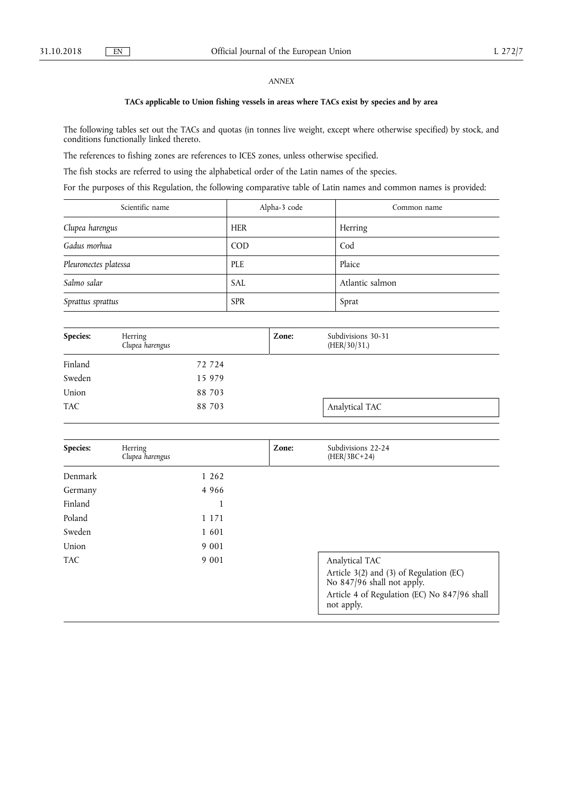# *ANNEX*

# **TACs applicable to Union fishing vessels in areas where TACs exist by species and by area**

The following tables set out the TACs and quotas (in tonnes live weight, except where otherwise specified) by stock, and conditions functionally linked thereto.

The references to fishing zones are references to ICES zones, unless otherwise specified.

The fish stocks are referred to using the alphabetical order of the Latin names of the species.

For the purposes of this Regulation, the following comparative table of Latin names and common names is provided:

| Scientific name       | Alpha-3 code | Common name     |
|-----------------------|--------------|-----------------|
| Clupea harengus       | <b>HER</b>   | Herring         |
| Gadus morhua          | <b>COD</b>   | Cod             |
| Pleuronectes platessa | <b>PLE</b>   | Plaice          |
| Salmo salar           | SAL          | Atlantic salmon |
| Sprattus sprattus     | <b>SPR</b>   | Sprat           |

| Species:   | Herring<br>Clupea harengus | Zone: | Subdivisions 30-31<br>(HER/30/31.) |  |
|------------|----------------------------|-------|------------------------------------|--|
| Finland    | 72 724                     |       |                                    |  |
| Sweden     | 15 979                     |       |                                    |  |
| Union      | 88 703                     |       |                                    |  |
| <b>TAC</b> | 88 703                     |       | Analytical TAC                     |  |

| Species:   | Herring<br>Clupea harengus | Zone: | Subdivisions 22-24<br>$(HER/3BC+24)$                                                                                                                  |
|------------|----------------------------|-------|-------------------------------------------------------------------------------------------------------------------------------------------------------|
| Denmark    | 1 262                      |       |                                                                                                                                                       |
| Germany    | 4 9 6 6                    |       |                                                                                                                                                       |
| Finland    | $\mathbf{I}$               |       |                                                                                                                                                       |
| Poland     | 1 1 7 1                    |       |                                                                                                                                                       |
| Sweden     | 1 601                      |       |                                                                                                                                                       |
| Union      | 9 0 0 1                    |       |                                                                                                                                                       |
| <b>TAC</b> | 9 0 0 1                    |       | Analytical TAC<br>Article 3(2) and (3) of Regulation (EC)<br>No 847/96 shall not apply.<br>Article 4 of Regulation (EC) No 847/96 shall<br>not apply. |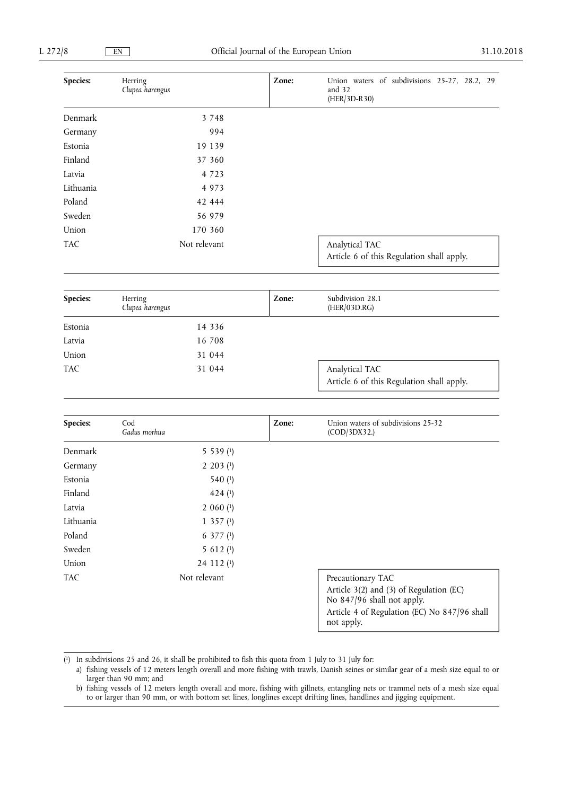| Species:   | Herring<br>Clupea harengus | Zone: | Union waters of subdivisions 25-27, 28.2, 29<br>and 32<br>(HER/3D-R30) |
|------------|----------------------------|-------|------------------------------------------------------------------------|
| Denmark    | 3 7 4 8                    |       |                                                                        |
| Germany    | 994                        |       |                                                                        |
| Estonia    | 19 139                     |       |                                                                        |
| Finland    | 37 360                     |       |                                                                        |
| Latvia     | 4 7 2 3                    |       |                                                                        |
| Lithuania  | 4 9 7 3                    |       |                                                                        |
| Poland     | 42 444                     |       |                                                                        |
| Sweden     | 56 979                     |       |                                                                        |
| Union      | 170 360                    |       |                                                                        |
| <b>TAC</b> | Not relevant               |       | Analytical TAC<br>Article 6 of this Regulation shall apply.            |
| Species:   | Herring                    | Zone: | Subdivision 28.1                                                       |
|            | Clupea harengus            |       | (HER/03D.RG)                                                           |
| Estonia    | 14 3 3 6                   |       |                                                                        |
| Latvia     | 16 708                     |       |                                                                        |
| Union      | 31 044                     |       |                                                                        |
| <b>TAC</b> | 31 044                     |       | Analytical TAC<br>Article 6 of this Regulation shall apply.            |
| Species:   | Cod                        | Zone: | Union waters of subdivisions 25-32                                     |
|            | Gadus morhua               |       | (COD/3DX32.)                                                           |
| Denmark    | 5 5 3 9 (1)                |       |                                                                        |
| Germany    | $2203$ (1)                 |       |                                                                        |
| Estonia    | 540 (1)                    |       |                                                                        |
| Finland    | 424 $(1)$                  |       |                                                                        |
| Latvia     | $2060$ (1)                 |       |                                                                        |
| Lithuania  | $1\,357\,(1)$              |       |                                                                        |
| Poland     | 6 377 $(1)$                |       |                                                                        |
| Sweden     | 5 6 1 2 $(1)$              |       |                                                                        |
| Union      | 24 112 (1)                 |       |                                                                        |
|            |                            |       |                                                                        |

TAC Not relevant Precautionary TAC

Article 3(2) and (3) of Regulation (EC) No 847/96 shall not apply. Article 4 of Regulation (EC) No 847/96 shall not apply.

( 1) In subdivisions 25 and 26, it shall be prohibited to fish this quota from 1 July to 31 July for:

a) fishing vessels of 12 meters length overall and more fishing with trawls, Danish seines or similar gear of a mesh size equal to or larger than 90 mm; and

b) fishing vessels of 12 meters length overall and more, fishing with gillnets, entangling nets or trammel nets of a mesh size equal to or larger than 90 mm, or with bottom set lines, longlines except drifting lines, handlines and jigging equipment.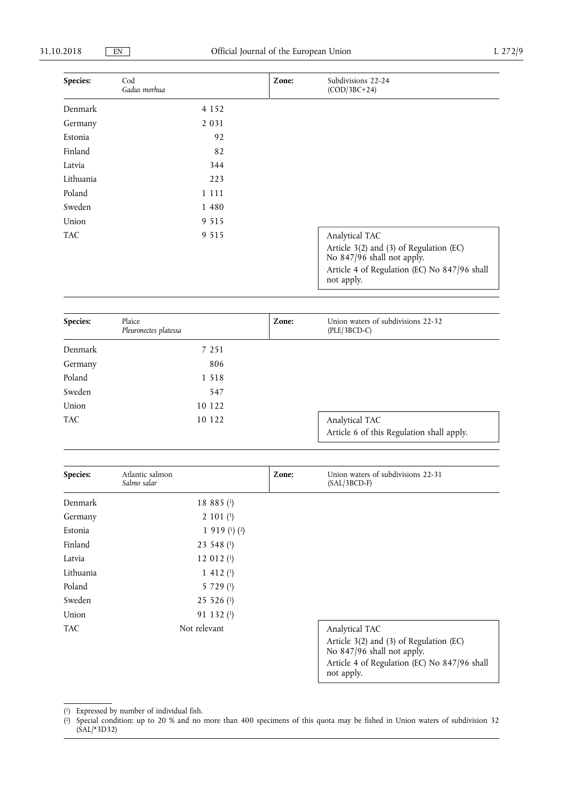| Species:   | Cod<br>Gadus morhua | Zone: | Subdivisions 22-24<br>$(COD/3BC+24)$                                                                                                |
|------------|---------------------|-------|-------------------------------------------------------------------------------------------------------------------------------------|
| Denmark    | 4 1 5 2             |       |                                                                                                                                     |
| Germany    | 2 0 3 1             |       |                                                                                                                                     |
| Estonia    | 92                  |       |                                                                                                                                     |
| Finland    | 82                  |       |                                                                                                                                     |
| Latvia     | 344                 |       |                                                                                                                                     |
| Lithuania  | 223                 |       |                                                                                                                                     |
| Poland     | 1 1 1 1             |       |                                                                                                                                     |
| Sweden     | 1 4 8 0             |       |                                                                                                                                     |
| Union      | 9 5 1 5             |       |                                                                                                                                     |
| <b>TAC</b> | 9 5 1 5             |       | Analytical TAC                                                                                                                      |
|            |                     |       | Article 3(2) and (3) of Regulation (EC)<br>No 847/96 shall not apply.<br>Article 4 of Regulation (EC) No 847/96 shall<br>not apply. |

| Species:   | Plaice<br>Pleuronectes platessa | Zone: | Union waters of subdivisions 22-32<br>$(PLE/3BCD-C)$        |
|------------|---------------------------------|-------|-------------------------------------------------------------|
| Denmark    | 7 251                           |       |                                                             |
| Germany    | 806                             |       |                                                             |
| Poland     | 1 5 1 8                         |       |                                                             |
| Sweden     | 547                             |       |                                                             |
| Union      | 10 122                          |       |                                                             |
| <b>TAC</b> | 10 122                          |       | Analytical TAC<br>Article 6 of this Regulation shall apply. |

| Species:  | Atlantic salmon<br>Salmo salar | Zone: | Union waters of subdivisions 22-31<br>$(SAL/3BCD-F)$                  |
|-----------|--------------------------------|-------|-----------------------------------------------------------------------|
| Denmark   | 18 885 $(1)$                   |       |                                                                       |
| Germany   | $2 101$ $(1)$                  |       |                                                                       |
| Estonia   | 1 919 $(1)$ $(2)$              |       |                                                                       |
| Finland   | 23 548 (1)                     |       |                                                                       |
| Latvia    | 12 012 $(1)$                   |       |                                                                       |
| Lithuania | $1\;412\;$ <sup>(1)</sup>      |       |                                                                       |
| Poland    | 5 7 2 9 (1)                    |       |                                                                       |
| Sweden    | $25526$ <sup>(1)</sup>         |       |                                                                       |
| Union     | 91 132 (1)                     |       |                                                                       |
| TAC.      | Not relevant                   |       | Analytical TAC                                                        |
|           |                                |       | Article 3(2) and (3) of Regulation (EC)<br>No 847/96 shall not apply. |
|           |                                |       | Article 4 of Regulation (EC) No 847/96 shall<br>not apply.            |

<sup>(</sup> 1) Expressed by number of individual fish.

<sup>(</sup> 2) Special condition: up to 20 % and no more than 400 specimens of this quota may be fished in Union waters of subdivision 32 (SAL/\*3D32)